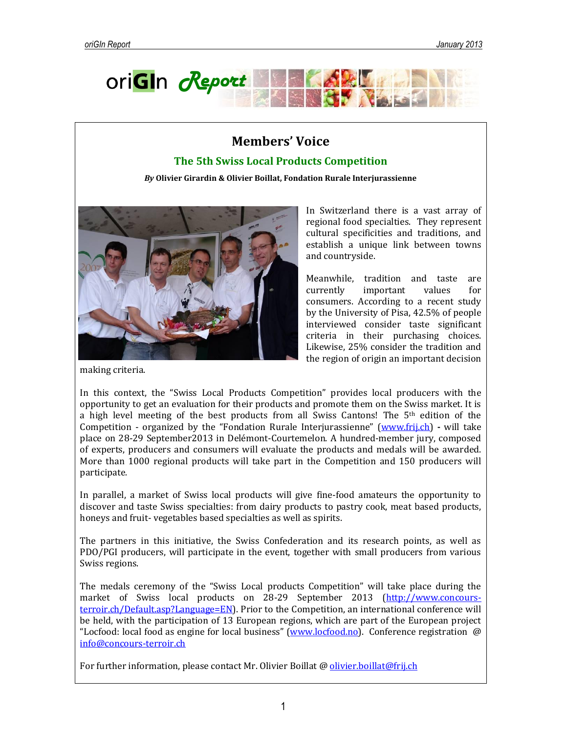

# **Members' Voice**

## **The 5th Swiss Local Products Competition**

*By* **Olivier Girardin & Olivier Boillat, Fondation Rurale Interjurassienne**



In Switzerland there is a vast array of regional food specialties. They represent cultural specificities and traditions, and establish a unique link between towns and countryside.

Meanwhile, tradition and taste are currently important values for consumers. According to a recent study by the University of Pisa, 42.5% of people interviewed consider taste significant criteria in their purchasing choices. Likewise, 25% consider the tradition and the region of origin an important decision

making criteria.

In this context, the "Swiss Local Products Competition" provides local producers with the opportunity to get an evaluation for their products and promote them on the Swiss market. It is a high level meeting of the best products from all Swiss Cantons! The 5th edition of the Competition - organized by the "Fondation Rurale Interjurassienne" [\(www.frij.ch\)](http://www.frij.ch/) **-** will take place on 28-29 September2013 in Delémont-Courtemelon. A hundred-member jury, composed of experts, producers and consumers will evaluate the products and medals will be awarded. More than 1000 regional products will take part in the Competition and 150 producers will participate*.*

In parallel, a market of Swiss local products will give fine-food amateurs the opportunity to discover and taste Swiss specialties: from dairy products to pastry cook, meat based products, honeys and fruit- vegetables based specialties as well as spirits.

The partners in this initiative, the Swiss Confederation and its research points, as well as PDO/PGI producers, will participate in the event, together with small producers from various Swiss regions.

The medals ceremony of the "Swiss Local products Competition" will take place during the market of Swiss local products on 28-29 September 2013 [\(http://www.concours](http://www.concours-terroir.ch/Default.asp?Language=EN)[terroir.ch/Default.asp?Language=EN\)](http://www.concours-terroir.ch/Default.asp?Language=EN). Prior to the Competition, an international conference will be held, with the participation of 13 European regions, which are part of the European project "Locfood: local food as engine for local business" [\(www.locfood.no\)](http://www.locfood.no/). Conference registration  $\omega$ [info@concours-terroir.ch](mailto:info@concours-terroir.ch)

For further information, please contact Mr. Olivier Boillat @ [olivier.boillat@frij.ch](mailto:olivier.boillat@frij.ch)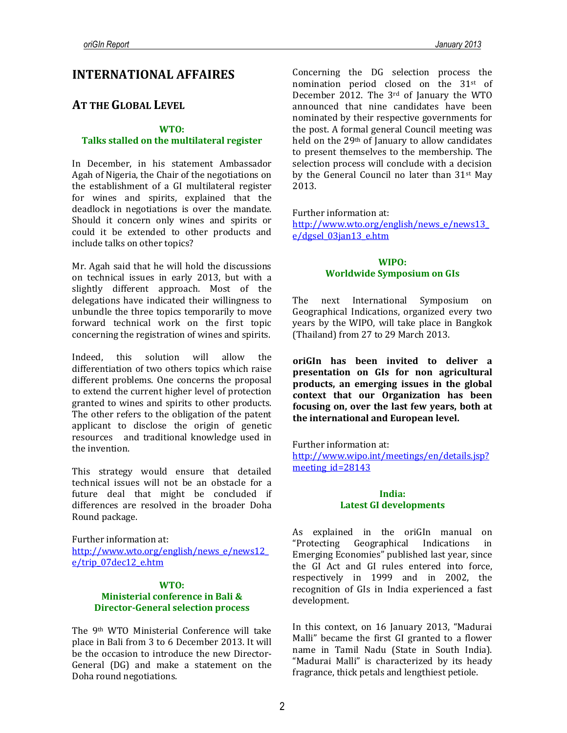## **INTERNATIONAL AFFAIRES**

## **AT THE GLOBAL LEVEL**

#### **WTO:**

#### **Talks stalled on the multilateral register**

In December, in his statement Ambassador Agah of Nigeria, the Chair of the negotiations on the establishment of a GI multilateral register for wines and spirits, explained that the deadlock in negotiations is over the mandate. Should it concern only wines and spirits or could it be extended to other products and include talks on other topics?

Mr. Agah said that he will hold the discussions on technical issues in early 2013, but with a slightly different approach. Most of the delegations have indicated their willingness to unbundle the three topics temporarily to move forward technical work on the first topic concerning the registration of wines and spirits.

Indeed, this solution will allow the differentiation of two others topics which raise different problems. One concerns the proposal to extend the current higher level of protection granted to wines and spirits to other products. The other refers to the obligation of the patent applicant to disclose the origin of genetic resources and traditional knowledge used in the invention.

This strategy would ensure that detailed technical issues will not be an obstacle for a future deal that might be concluded if differences are resolved in the broader Doha Round package.

Further information at: [http://www.wto.org/english/news\\_e/news12\\_](http://www.wto.org/english/news_e/news12_e/trip_07dec12_e.htm) [e/trip\\_07dec12\\_e.htm](http://www.wto.org/english/news_e/news12_e/trip_07dec12_e.htm)

## **WTO: Ministerial conference in Bali & Director-General selection process**

The 9th WTO Ministerial Conference will take place in Bali from 3 to 6 December 2013. It will be the occasion to introduce the new Director-General (DG) and make a statement on the Doha round negotiations.

Concerning the DG selection process the nomination period closed on the 31st of December 2012. The 3rd of January the WTO announced that nine candidates have been nominated by their respective governments for the post. A formal general Council meeting was held on the 29th of January to allow candidates to present themselves to the membership. The selection process will conclude with a decision by the General Council no later than 31st May 2013.

Further information at:

[http://www.wto.org/english/news\\_e/news13\\_](http://www.wto.org/english/news_e/news13_e/dgsel_03jan13_e.htm) [e/dgsel\\_03jan13\\_e.htm](http://www.wto.org/english/news_e/news13_e/dgsel_03jan13_e.htm)

#### **WIPO: Worldwide Symposium on GIs**

The next International Symposium Geographical Indications, organized every two years by the WIPO, will take place in Bangkok (Thailand) from 27 to 29 March 2013.

**oriGIn has been invited to deliver a presentation on GIs for non agricultural products, an emerging issues in the global context that our Organization has been focusing on, over the last few years, both at the international and European level.**

Further information at: [http://www.wipo.int/meetings/en/details.jsp?](http://www.wipo.int/meetings/en/details.jsp?meeting_id=28143) [meeting\\_id=28143](http://www.wipo.int/meetings/en/details.jsp?meeting_id=28143)

#### **India: Latest GI developments**

As explained in the oriGIn manual on "Protecting Geographical Indications in Emerging Economies" published last year, since the GI Act and GI rules entered into force, respectively in 1999 and in 2002, the recognition of GIs in India experienced a fast development.

In this context, on 16 January 2013, "Madurai Malli" became the first GI granted to a flower name in Tamil Nadu (State in South India). "Madurai Malli" is characterized by its heady fragrance, thick petals and lengthiest petiole.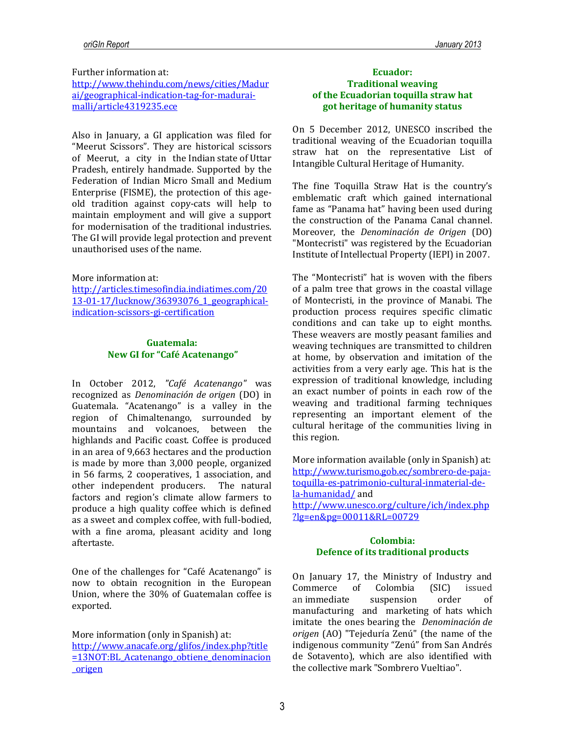Further information at:

[http://www.thehindu.com/news/cities/Madur](http://www.thehindu.com/news/cities/Madurai/geographical-indication-tag-for-madurai-malli/article4319235.ece) [ai/geographical-indication-tag-for-madurai](http://www.thehindu.com/news/cities/Madurai/geographical-indication-tag-for-madurai-malli/article4319235.ece)[malli/article4319235.ece](http://www.thehindu.com/news/cities/Madurai/geographical-indication-tag-for-madurai-malli/article4319235.ece)

Also in January, a GI application was filed for "Meerut Scissors". They are historical scissors of Meerut, a city in the [Indian](http://en.wikipedia.org/wiki/India) [state](http://en.wikipedia.org/wiki/States_and_territories_of_India) of [Uttar](http://en.wikipedia.org/wiki/Uttar_Pradesh)  [Pradesh,](http://en.wikipedia.org/wiki/Uttar_Pradesh) entirely handmade. Supported by the Federation of Indian Micro Small and Medium Enterprise (FISME), the protection of this ageold tradition against copy-cats will help to maintain employment and will give a support for modernisation of the traditional industries. The GI will provide legal protection and prevent unauthorised uses of the name.

#### More information at:

[http://articles.timesofindia.indiatimes.com/20](http://articles.timesofindia.indiatimes.com/2013-01-17/lucknow/36393076_1_geographical-indication-scissors-gi-certification) [13-01-17/lucknow/36393076\\_1\\_geographical](http://articles.timesofindia.indiatimes.com/2013-01-17/lucknow/36393076_1_geographical-indication-scissors-gi-certification)[indication-scissors-gi-certification](http://articles.timesofindia.indiatimes.com/2013-01-17/lucknow/36393076_1_geographical-indication-scissors-gi-certification)

#### **Guatemala: New GI for "Café Acatenango"**

In October 2012, *"Café Acatenango"* was recognized as *Denominación de origen* (DO) in Guatemala. "Acatenango" is a valley in the region of Chimaltenango, surrounded by mountains and volcanoes, between the highlands and Pacific coast. Coffee is produced in an area of 9,663 hectares and the production is made by more than 3,000 people, organized in 56 farms, 2 cooperatives, 1 association, and other independent producers. The natural factors and region's climate allow farmers to produce a high quality coffee which is defined as a sweet and complex coffee, with full-bodied, with a fine aroma, pleasant acidity and long aftertaste.

One of the challenges for "Café Acatenango" is now to obtain recognition in the European Union, where the 30% of Guatemalan coffee is exported.

More information (only in Spanish) at: http://www.anacafe.org/glifos/index.php?title =13NOT:BL\_Acatenango\_obtiene\_denominacion \_origen

### **Ecuador: Traditional weaving of the Ecuadorian toquilla straw hat got heritage of humanity status**

On 5 December 2012, UNESCO inscribed the traditional weaving of the Ecuadorian toquilla straw hat on the representative List of Intangible Cultural Heritage of Humanity.

The fine Toquilla Straw Hat is the country's emblematic craft which gained international fame as "Panama hat" having been used during the construction of the Panama Canal channel. Moreover, the *Denominación de Origen* (DO) "Montecristi" was registered by the Ecuadorian Institute of Intellectual Property (IEPI) in 2007.

The "Montecristi" hat is woven with the fibers of a palm tree that grows in the coastal village of Montecristi, in the province of Manabi. The production process requires specific climatic conditions and can take up to eight months. These weavers are mostly peasant families and weaving techniques are transmitted to children at home, by observation and imitation of the activities from a very early age. This hat is the expression of traditional knowledge, including an exact number of points in each row of the weaving and traditional farming techniques representing an important element of the cultural heritage of the communities living in this region.

More information available (only in Spanish) at: http://www.turismo.gob.ec/sombrero-de-pajatoquilla-es-patrimonio-cultural-inmaterial-dela-humanidad/ and http://www.unesco.org/culture/ich/index.php

?lg=en&pg=00011&RL=00729

### **Colombia: Defence of its traditional products**

On January 17, the Ministry of Industry and Commerce of Colombia (SIC) issued an immediate suspension order of manufacturing and marketing of hats which imitate the ones bearing the *Denominación de origen* (AO) "Tejeduría Zenú" (the name of the indigenous community "Zenú" from San Andrés de Sotavento), which are also identified with the collective mark "Sombrero Vueltiao".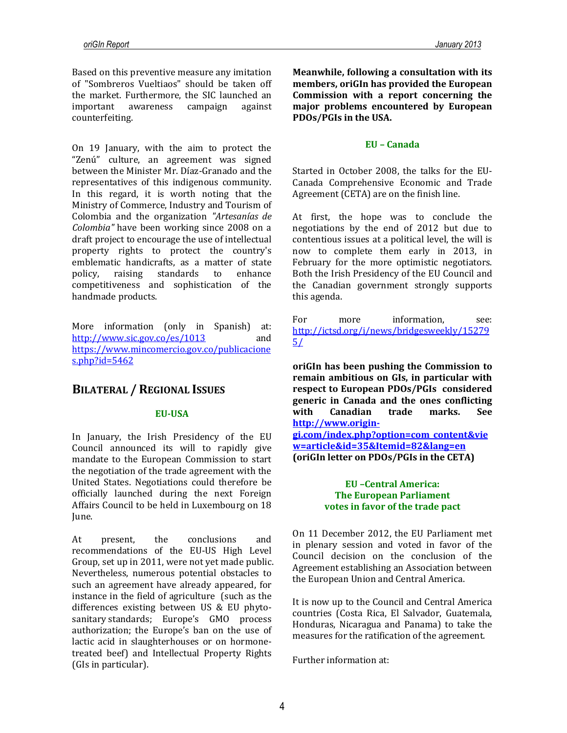Based on this preventive measure any imitation of "Sombreros Vueltiaos" should be taken off the market. Furthermore, the SIC launched an important awareness campaign against counterfeiting.

On 19 January, with the aim to protect the "Zenú" culture, an agreement was signed between the Minister Mr. Díaz-Granado and the representatives of this indigenous community. In this regard, it is worth noting that the Ministry of Commerce, Industry and Tourism of Colombia and the organization *"Artesanías de Colombia"* have been working since 2008 on a draft project to encourage the use of intellectual property rights to protect the country's emblematic handicrafts, as a matter of state policy, raising standards to enhance competitiveness and sophistication of the handmade products.

More information (only in Spanish) at: http://www.sic.gov.co/es/1013 and https://www.mincomercio.gov.co/publicacione s.php?id=5462

## **BILATERAL / REGIONAL ISSUES**

## **EU-USA**

In January, the Irish Presidency of the EU Council announced its will to rapidly give mandate to the European Commission to start the negotiation of the trade agreement with the United States. Negotiations could therefore be officially launched during the next Foreign Affairs Council to be held in Luxembourg on 18 June.

At present, the conclusions and recommendations of the EU-US High Level Group, set up in 2011, were not yet made public. Nevertheless, numerous potential obstacles to such an agreement have already appeared, for instance in the field of agriculture (such as the differences existing between US & EU phytosanitary standards; Europe's GMO process authorization; the Europe's ban on the use of lactic acid in slaughterhouses or on hormonetreated beef) and Intellectual Property Rights (GIs in particular).

**Meanwhile, following a consultation with its members, oriGIn has provided the European Commission with a report concerning the major problems encountered by European PDOs/PGIs in the USA.** 

## **EU – Canada**

Started in October 2008, the talks for the EU-Canada Comprehensive Economic and Trade Agreement (CETA) are on the finish line.

At first, the hope was to conclude the negotiations by the end of 2012 but due to contentious issues at a political level, the will is now to complete them early in 2013, in February for the more optimistic negotiators. Both the Irish Presidency of the EU Council and the Canadian government strongly supports this agenda.

For more information, see: [http://ictsd.org/i/news/bridgesweekly/15279](http://ictsd.org/i/news/bridgesweekly/152795/) [5/](http://ictsd.org/i/news/bridgesweekly/152795/)

**oriGIn has been pushing the Commission to remain ambitious on GIs, in particular with respect to European PDOs/PGIs considered generic in Canada and the ones conflicting with Canadian trade marks. See [http://www.origin-](http://www.origin-gi.com/index.php?option=com_content&view=article&id=35&Itemid=82&lang=en)**

**[gi.com/index.php?option=com\\_content&vie](http://www.origin-gi.com/index.php?option=com_content&view=article&id=35&Itemid=82&lang=en) [w=article&id=35&Itemid=82&lang=en](http://www.origin-gi.com/index.php?option=com_content&view=article&id=35&Itemid=82&lang=en) (oriGIn letter on PDOs/PGIs in the CETA)**

### **EU –Central America: The European Parliament votes in favor of the trade pact**

On 11 December 2012, the EU Parliament met in plenary session and voted in favor of the Council decision on the conclusion of the Agreement establishing an Association between the European Union and Central America.

It is now up to the Council and Central America countries (Costa Rica, El Salvador, Guatemala, Honduras, Nicaragua and Panama) to take the measures for the ratification of the agreement.

Further information at: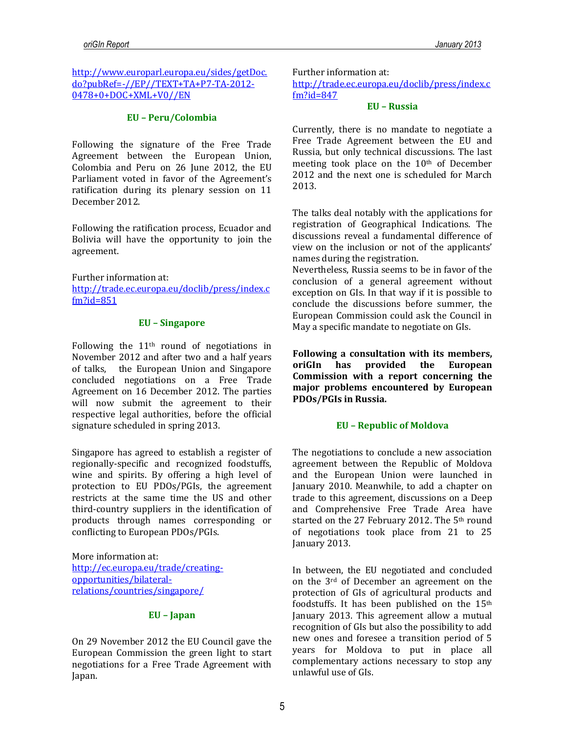[http://www.europarl.europa.eu/sides/getDoc.](http://www.europarl.europa.eu/sides/getDoc.do?pubRef=-//EP//TEXT+TA+P7-TA-2012-0478+0+DOC+XML+V0//EN) [do?pubRef=-//EP//TEXT+TA+P7-TA-2012-](http://www.europarl.europa.eu/sides/getDoc.do?pubRef=-//EP//TEXT+TA+P7-TA-2012-0478+0+DOC+XML+V0//EN) [0478+0+DOC+XML+V0//EN](http://www.europarl.europa.eu/sides/getDoc.do?pubRef=-//EP//TEXT+TA+P7-TA-2012-0478+0+DOC+XML+V0//EN)

#### **EU – Peru/Colombia**

Following the signature of the Free Trade Agreement between the European Union, Colombia and Peru on 26 June 2012, the EU Parliament voted in favor of the Agreement's ratification during its plenary session on 11 December 2012.

Following the ratification process, Ecuador and Bolivia will have the opportunity to join the agreement.

Further information at:

[http://trade.ec.europa.eu/doclib/press/index.c](http://trade.ec.europa.eu/doclib/press/index.cfm?id=851) [fm?id=851](http://trade.ec.europa.eu/doclib/press/index.cfm?id=851)

#### **EU – Singapore**

Following the 11th round of negotiations in November 2012 and after two and a half years of talks, the European Union and Singapore concluded negotiations on a Free Trade Agreement on 16 December 2012. The parties will now submit the agreement to their respective legal authorities, before the official signature scheduled in spring 2013.

Singapore has agreed to establish a register of regionally-specific and recognized foodstuffs, wine and spirits. By offering a high level of protection to EU PDOs/PGIs, the agreement restricts at the same time the US and other third-country suppliers in the identification of products through names corresponding or conflicting to European PDOs/PGIs.

More information at: [http://ec.europa.eu/trade/creating](http://ec.europa.eu/trade/creating-opportunities/bilateral-relations/countries/singapore/)[opportunities/bilateral](http://ec.europa.eu/trade/creating-opportunities/bilateral-relations/countries/singapore/)[relations/countries/singapore/](http://ec.europa.eu/trade/creating-opportunities/bilateral-relations/countries/singapore/)

#### **EU – Japan**

On 29 November 2012 the EU Council gave the European Commission the green light to start negotiations for a Free Trade Agreement with Japan.

Further information at:

[http://trade.ec.europa.eu/doclib/press/index.c](http://trade.ec.europa.eu/doclib/press/index.cfm?id=847) [fm?id=847](http://trade.ec.europa.eu/doclib/press/index.cfm?id=847)

#### **EU – Russia**

Currently, there is no mandate to negotiate a Free Trade Agreement between the EU and Russia, but only technical discussions. The last meeting took place on the 10th of December 2012 and the next one is scheduled for March 2013.

The talks deal notably with the applications for registration of Geographical Indications. The discussions reveal a fundamental difference of view on the inclusion or not of the applicants' names during the registration.

Nevertheless, Russia seems to be in favor of the conclusion of a general agreement without exception on GIs. In that way if it is possible to conclude the discussions before summer, the European Commission could ask the Council in May a specific mandate to negotiate on GIs.

**Following a consultation with its members, oriGIn has provided the European Commission with a report concerning the major problems encountered by European PDOs/PGIs in Russia.** 

## **EU – Republic of Moldova**

The negotiations to conclude a new association agreement between the Republic of Moldova and the European Union were launched in January 2010. Meanwhile, to add a chapter on trade to this agreement, discussions on a Deep and Comprehensive Free Trade Area have started on the 27 February 2012. The 5th round of negotiations took place from 21 to 25 January 2013.

In between, the EU negotiated and concluded on the 3rd of December an agreement on the protection of GIs of agricultural products and foodstuffs. It has been published on the 15th January 2013. This agreement allow a mutual recognition of GIs but also the possibility to add new ones and foresee a transition period of 5 years for Moldova to put in place all complementary actions necessary to stop any unlawful use of GIs.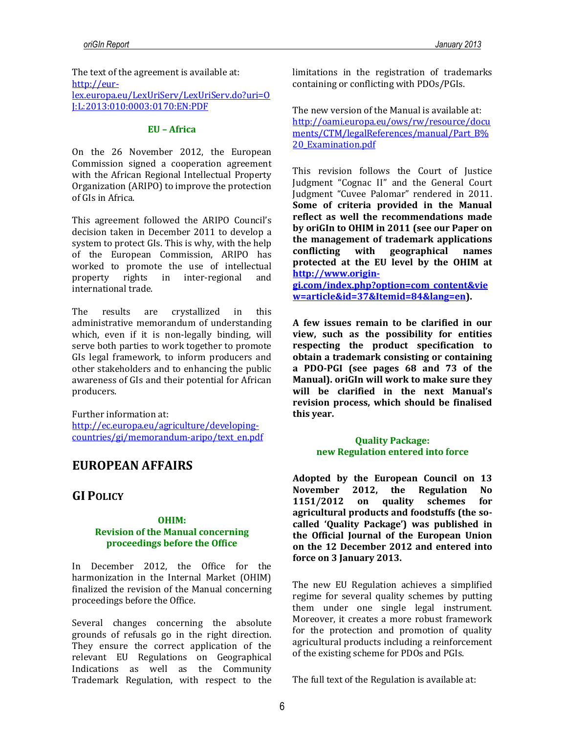The text of the agreement is available at: [http://eur](http://eur-lex.europa.eu/LexUriServ/LexUriServ.do?uri=OJ:L:2013:010:0003:0170:EN:PDF)[lex.europa.eu/LexUriServ/LexUriServ.do?uri=O](http://eur-lex.europa.eu/LexUriServ/LexUriServ.do?uri=OJ:L:2013:010:0003:0170:EN:PDF) [J:L:2013:010:0003:0170:EN:PDF](http://eur-lex.europa.eu/LexUriServ/LexUriServ.do?uri=OJ:L:2013:010:0003:0170:EN:PDF)

#### **EU – Africa**

On the 26 November 2012, the European Commission signed a cooperation agreement with the African Regional Intellectual Property Organization (ARIPO) to improve the protection of GIs in Africa.

This agreement followed the ARIPO Council's decision taken in December 2011 to develop a system to protect GIs. This is why, with the help of the European Commission, ARIPO has worked to promote the use of intellectual property rights in inter-regional and international trade.

The results are crystallized in this administrative memorandum of understanding which, even if it is non-legally binding, will serve both parties to work together to promote GIs legal framework, to inform producers and other stakeholders and to enhancing the public awareness of GIs and their potential for African producers.

Further information at: [http://ec.europa.eu/agriculture/developing](http://ec.europa.eu/agriculture/developing-countries/gi/memorandum-aripo/text_en.pdf)[countries/gi/memorandum-aripo/text\\_en.pdf](http://ec.europa.eu/agriculture/developing-countries/gi/memorandum-aripo/text_en.pdf)

## **EUROPEAN AFFAIRS**

## **GI POLICY**

### **OHIM: Revision of the Manual concerning proceedings before the Office**

In December 2012, the Office for the harmonization in the Internal Market (OHIM) finalized the revision of the Manual concerning proceedings before the Office.

Several changes concerning the absolute grounds of refusals go in the right direction. They ensure the correct application of the relevant EU Regulations on Geographical Indications as well as the Community Trademark Regulation, with respect to the

limitations in the registration of trademarks containing or conflicting with PDOs/PGIs.

The new version of the Manual is available at: [http://oami.europa.eu/ows/rw/resource/docu](http://oami.europa.eu/ows/rw/resource/documents/CTM/legalReferences/manual/Part_B%20_Examination.pdf) [ments/CTM/legalReferences/manual/Part\\_B%](http://oami.europa.eu/ows/rw/resource/documents/CTM/legalReferences/manual/Part_B%20_Examination.pdf) [20\\_Examination.pdf](http://oami.europa.eu/ows/rw/resource/documents/CTM/legalReferences/manual/Part_B%20_Examination.pdf)

This revision follows the Court of Justice Judgment "Cognac II" and the General Court Judgment "Cuvee Palomar" rendered in 2011. **Some of criteria provided in the Manual reflect as well the recommendations made by oriGIn to OHIM in 2011 (see our Paper on the management of trademark applications conflicting with geographical names protected at the EU level by the OHIM at http://www.origin-**

**gi.com/index.php?option=com\_content&vie w=article&id=37&Itemid=84&lang=en).**

**A few issues remain to be clarified in our view, such as the possibility for entities respecting the product specification to obtain a trademark consisting or containing a PDO-PGI (see pages 68 and 73 of the Manual). oriGIn will work to make sure they will be clarified in the next Manual's revision process, which should be finalised this year.** 

## **Quality Package: new Regulation entered into force**

**Adopted by the European Council on 13 November 2012, the Regulation No 1151/2012 on quality schemes for agricultural products and foodstuffs (the socalled 'Quality Package') was published in the Official Journal of the European Union on the 12 December 2012 and entered into force on 3 January 2013.** 

The new EU Regulation achieves a simplified regime for several quality schemes by putting them under one single legal instrument. Moreover, it creates a more robust framework for the protection and promotion of quality agricultural products including a reinforcement of the existing scheme for PDOs and PGIs.

The full text of the Regulation is available at: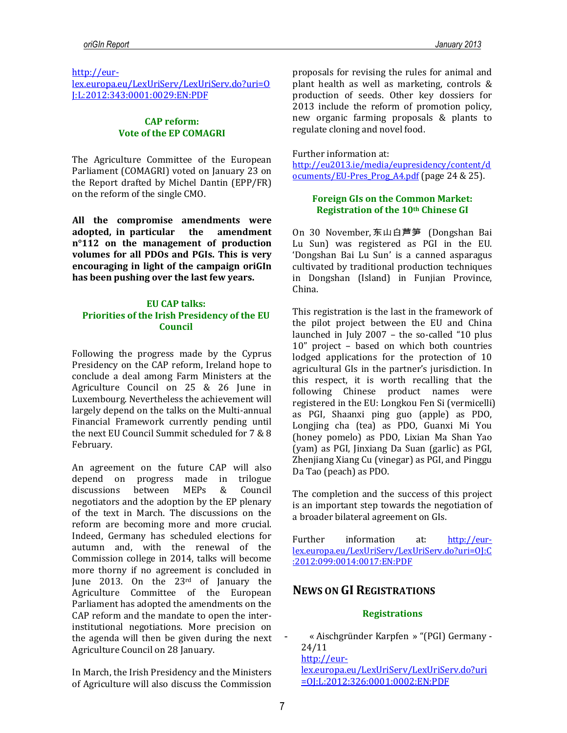#### [http://eur-](http://eur-lex.europa.eu/LexUriServ/LexUriServ.do?uri=OJ:L:2012:343:0001:0029:EN:PDF)

[lex.europa.eu/LexUriServ/LexUriServ.do?uri=O](http://eur-lex.europa.eu/LexUriServ/LexUriServ.do?uri=OJ:L:2012:343:0001:0029:EN:PDF) [J:L:2012:343:0001:0029:EN:PDF](http://eur-lex.europa.eu/LexUriServ/LexUriServ.do?uri=OJ:L:2012:343:0001:0029:EN:PDF)

### **CAP reform: Vote of the EP COMAGRI**

The Agriculture Committee of the European Parliament (COMAGRI) voted on January 23 on the Report drafted by Michel Dantin (EPP/FR) on the reform of the single CMO.

**All the compromise amendments were adopted, in particular the amendment n°112 on the management of production volumes for all PDOs and PGIs. This is very encouraging in light of the campaign oriGIn has been pushing over the last few years.** 

### **EU CAP talks: Priorities of the Irish Presidency of the EU Council**

Following the progress made by the Cyprus Presidency on the CAP reform, Ireland hope to conclude a deal among Farm Ministers at the Agriculture Council on 25 & 26 June in Luxembourg. Nevertheless the achievement will largely depend on the talks on the Multi-annual Financial Framework currently pending until the next EU Council Summit scheduled for 7 & 8 February.

An agreement on the future CAP will also depend on progress made in trilogue discussions between MEPs & Council negotiators and the adoption by the EP plenary of the text in March. The discussions on the reform are becoming more and more crucial. Indeed, Germany has scheduled elections for autumn and, with the renewal of the Commission college in 2014, talks will become more thorny if no agreement is concluded in June 2013. On the 23rd of January the Agriculture Committee of the European Parliament has adopted the amendments on the CAP reform and the mandate to open the interinstitutional negotiations. More precision on the agenda will then be given during the next Agriculture Council on 28 January.

In March, the Irish Presidency and the Ministers of Agriculture will also discuss the Commission proposals for revising the rules for animal and plant health as well as marketing, controls & production of seeds. Other key dossiers for 2013 include the reform of promotion policy, new organic farming proposals & plants to regulate cloning and novel food.

Further information at:

[http://eu2013.ie/media/eupresidency/content/d](http://eu2013.ie/media/eupresidency/content/documents/EU-Pres_Prog_A4.pdf) [ocuments/EU-Pres\\_Prog\\_A4.pdf](http://eu2013.ie/media/eupresidency/content/documents/EU-Pres_Prog_A4.pdf) (page 24 & 25).

### **Foreign GIs on the Common Market: Registration of the 10th Chinese GI**

On 30 November, 东山白芦笋 (Dongshan Bai Lu Sun) was registered as PGI in the EU. 'Dongshan Bai Lu Sun' is a canned asparagus cultivated by traditional production techniques in Dongshan (Island) in Funjian Province, China.

This registration is the last in the framework of the pilot project between the EU and China launched in July 2007 – the so-called "10 plus 10" project – based on which both countries lodged applications for the protection of 10 agricultural GIs in the partner's jurisdiction. In this respect, it is worth recalling that the following Chinese product names were registered in the EU: Longkou Fen Si (vermicelli) as PGI, Shaanxi ping guo (apple) as PDO, Longjing cha (tea) as PDO, Guanxi Mi You (honey pomelo) as PDO, Lixian Ma Shan Yao (yam) as PGI, Jinxiang Da Suan (garlic) as PGI, Zhenjiang Xiang Cu (vinegar) as PGI, and Pinggu Da Tao (peach) as PDO.

The completion and the success of this project is an important step towards the negotiation of a broader bilateral agreement on GIs.

Further information at: [http://eur](http://eur-lex.europa.eu/LexUriServ/LexUriServ.do?uri=OJ:C:2012:099:0014:0017:EN:PDF)[lex.europa.eu/LexUriServ/LexUriServ.do?uri=OJ:C](http://eur-lex.europa.eu/LexUriServ/LexUriServ.do?uri=OJ:C:2012:099:0014:0017:EN:PDF) [:2012:099:0014:0017:EN:PDF](http://eur-lex.europa.eu/LexUriServ/LexUriServ.do?uri=OJ:C:2012:099:0014:0017:EN:PDF)

## **NEWS ON GI REGISTRATIONS**

#### **Registrations**

**-** « Aischgründer Karpfen » "(PGI) Germany - 24/11 [http://eur](http://eur-lex.europa.eu/LexUriServ/LexUriServ.do?uri=OJ:L:2012:326:0001:0002:EN:PDF)[lex.europa.eu/LexUriServ/LexUriServ.do?uri](http://eur-lex.europa.eu/LexUriServ/LexUriServ.do?uri=OJ:L:2012:326:0001:0002:EN:PDF) [=OJ:L:2012:326:0001:0002:EN:PDF](http://eur-lex.europa.eu/LexUriServ/LexUriServ.do?uri=OJ:L:2012:326:0001:0002:EN:PDF)